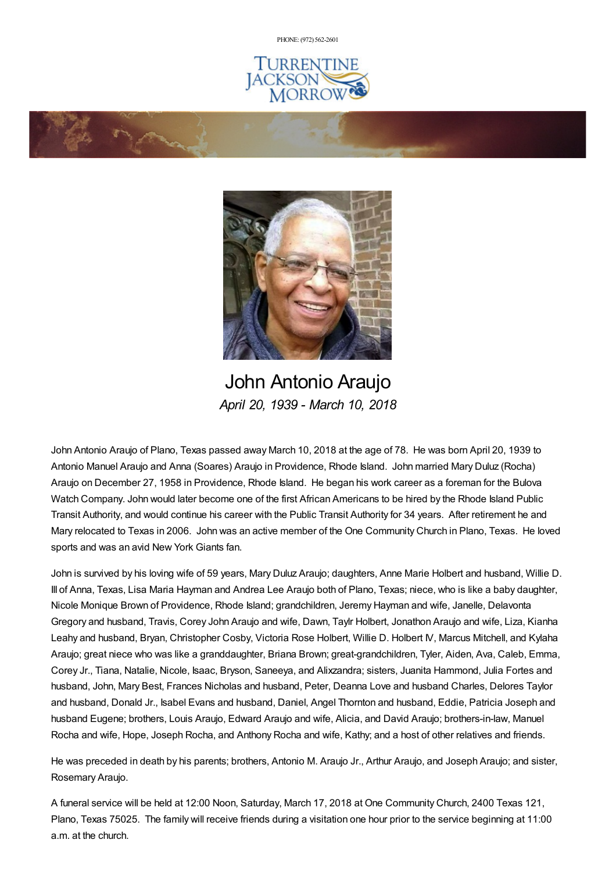PHONE: (972) [562-2601](tel:(972) 562-2601)







John Antonio Araujo *April 20, 1939 - March 10, 2018*

John Antonio Araujo of Plano, Texas passed away March 10, 2018 at the age of 78. He was born April 20, 1939 to Antonio Manuel Araujo and Anna (Soares) Araujo in Providence, Rhode Island. John married Mary Duluz (Rocha) Araujo on December 27, 1958 in Providence, Rhode Island. He began his work career as a foreman for the Bulova Watch Company. John would later become one of the first African Americans to be hired by the Rhode Island Public Transit Authority, and would continue his career with the Public Transit Authority for 34 years. After retirement he and Mary relocated to Texas in 2006. John was an active member of the One Community Church in Plano, Texas. He loved sports and was an avid New York Giants fan.

John is survived by his loving wife of 59 years, Mary Duluz Araujo; daughters, Anne Marie Holbert and husband, Willie D. III of Anna, Texas, Lisa Maria Hayman and Andrea Lee Araujo both of Plano, Texas; niece, who is like a baby daughter, Nicole Monique Brown of Providence, Rhode Island; grandchildren, Jeremy Hayman and wife, Janelle, Delavonta Gregory and husband, Travis, Corey John Araujo and wife, Dawn, Taylr Holbert, Jonathon Araujo and wife, Liza, Kianha Leahy and husband, Bryan, Christopher Cosby, Victoria Rose Holbert, Willie D. Holbert IV, Marcus Mitchell, and Kylaha Araujo; great niece who was like a granddaughter, Briana Brown; great-grandchildren, Tyler, Aiden, Ava, Caleb, Emma, Corey Jr., Tiana, Natalie, Nicole, Isaac, Bryson, Saneeya, and Alixzandra; sisters, Juanita Hammond, Julia Fortes and husband, John, Mary Best, Frances Nicholas and husband, Peter, Deanna Love and husband Charles, Delores Taylor and husband, Donald Jr., Isabel Evans and husband, Daniel, Angel Thornton and husband, Eddie, Patricia Joseph and husband Eugene; brothers, Louis Araujo, Edward Araujo and wife, Alicia, and David Araujo; brothers-in-law, Manuel Rocha and wife, Hope, Joseph Rocha, and Anthony Rocha and wife, Kathy; and a host of other relatives and friends.

He was preceded in death by his parents; brothers, Antonio M. Araujo Jr., Arthur Araujo, and Joseph Araujo; and sister, Rosemary Araujo.

A funeral service will be held at 12:00 Noon, Saturday, March 17, 2018 at One Community Church, 2400 Texas 121, Plano, Texas 75025. The family will receive friends during a visitation one hour prior to the service beginning at 11:00 a.m. at the church.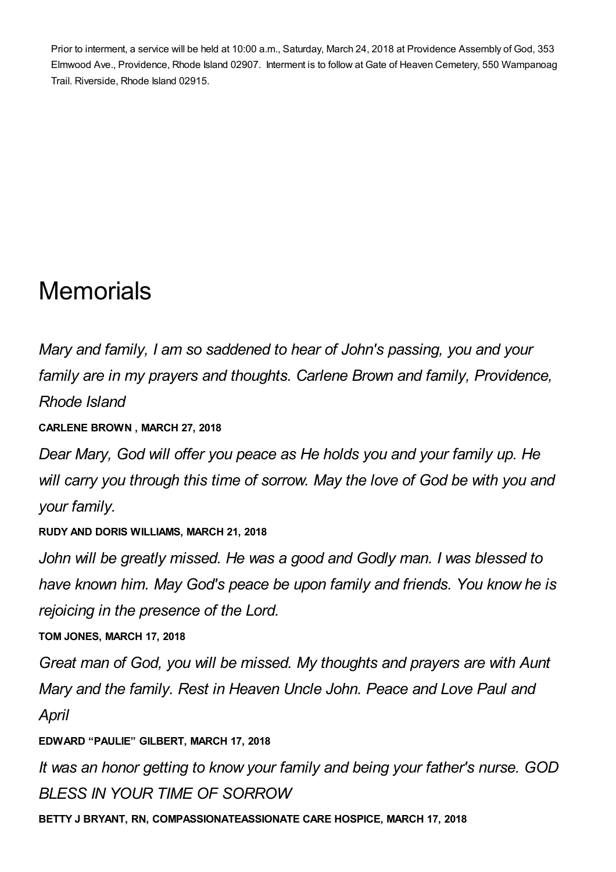Prior to interment, a service will be held at 10:00 a.m., Saturday, March 24, 2018 at Providence Assembly of God, 353 Elmwood Ave., Providence, Rhode Island 02907. Interment is to follow at Gate of Heaven Cemetery, 550 Wampanoag Trail. Riverside, Rhode Island 02915.

## **Memorials**

*Mary and family, I am so saddened to hear of John's passing, you and your family are in my prayers and thoughts. Carlene Brown and family, Providence, Rhode Island*

**CARLENE BROWN , MARCH 27, 2018**

*Dear Mary, God will offer you peace as He holds you and your family up. He will carry you through this time of sorrow. May the love of God be with you and your family.*

**RUDY AND DORIS WILLIAMS, MARCH 21, 2018**

*John will be greatly missed. He was a good and Godly man. I was blessed to have known him. May God's peace be upon family and friends. You know he is rejoicing in the presence of the Lord.*

**TOM JONES, MARCH 17, 2018**

*Great man of God, you will be missed. My thoughts and prayers are with Aunt Mary and the family. Rest in Heaven Uncle John. Peace and Love Paul and April*

**EDWARD "PAULIE" GILBERT, MARCH 17, 2018**

*It was an honor getting to know your family and being your father's nurse. GOD BLESS IN YOUR TIME OF SORROW*

**BETTY J BRYANT, RN, COMPASSIONATEASSIONATE CARE HOSPICE, MARCH 17, 2018**